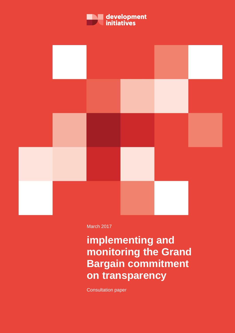



March 2017

**implementing and monitoring the Grand Bargain commitment on transparency** 

Consultation paper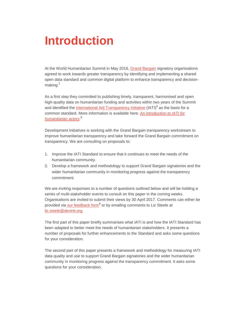# **Introduction**

At the World Humanitarian Summit in May 2016, [Grand Bargain](https://consultations.worldhumanitariansummit.org/bitcache/075d4c18b82e0853e3d393e90af18acf734baf29?vid=580250&disposition=inline&op=view) signatory organisations agreed to work towards greater transparency by identifying and implementing a shared open data standard and common digital platform to enhance transparency and decisionmaking.<sup>1</sup>

As a first step they committed to publishing timely, transparent, harmonised and open high-quality data on humanitarian funding and activities within two years of the Summit and identified the <u>International Aid Transparency Initiative</u> (IATI)<sup>2</sup> as the basis for a common standard. More information is available here: *[An introduction to IATI for](http://devinit.org/post/an-introduction-to-iati-for-humanitarian-actors/)  [humanitarian actors](http://devinit.org/post/an-introduction-to-iati-for-humanitarian-actors/)*. 3

Development Initiatives is working with the Grand Bargain transparency workstream to improve humanitarian transparency and take forward the Grand Bargain commitment on transparency. We are consulting on proposals to:

- 1. Improve the IATI Standard to ensure that it continues to meet the needs of the humanitarian community.
- 2. Develop a framework and methodology to support Grand Bargain signatories and the wider humanitarian community in monitoring progress against the transparency commitment.

We are inviting responses to a number of questions outlined below and will be holding a series of multi-stakeholder events to consult on this paper in the coming weeks. Organisations are invited to submit their views by 30 April 2017. Comments can either be provided via **our [feedback form](https://docs.google.com/forms/d/e/1FAIpQLSfljjVpgkzd07oaGesmIYPahpaG-kgoMZNhY0DseQHddWZiJg/viewform)<sup>4</sup> or by emailing comments to Liz Steele at** [liz.steele@devinit.org.](mailto:liz.steele@devinit.org)

The first part of this paper briefly summarises what IATI is and how the IATI Standard has been adapted to better meet the needs of humanitarian stakeholders. It presents a number of proposals for further enhancements to the Standard and asks some questions for your consideration.

The second part of this paper presents a framework and methodology for measuring IATI data quality and use to support Grand Bargain signatories and the wider humanitarian community in monitoring progress against the transparency commitment. It asks some questions for your consideration.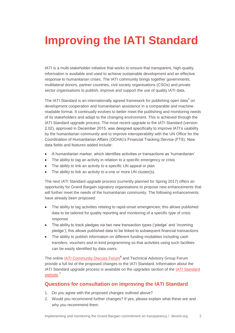# **Improving the IATI Standard**

IATI is a multi-stakeholder initiative that works to ensure that transparent, high-quality information is available and used to achieve sustainable development and an effective response to humanitarian crises. The IATI community brings together governments, multilateral donors, partner countries, civil society organisations (CSOs) and private sector organisations to publish, improve and support the use of quality IATI data.

The IATI Standard is an internationally agreed framework for publishing open data<sup>5</sup> on development cooperation and humanitarian assistance in a comparable and machinereadable format. It continually evolves to better meet the publishing and monitoring needs of its stakeholders and adapt to the changing environment. This is achieved through the IATI Standard upgrade process. The most recent upgrade to the IATI Standard (version 2.02), approved in December 2015, was designed specifically to improve IATI's usability by the humanitarian community and to improve interoperability with the UN Office for the Coordination of Humanitarian Affairs (OCHA)'s Financial Tracking Service (FTS). New data fields and features added include:

- A humanitarian marker, which identifies activities or transactions as 'humanitarian'
- The ability to tag an activity in relation to a specific emergency or crisis
- The ability to link an activity to a specific UN appeal or plan
- The ability to link an activity to a one or more UN cluster(s).

The next IATI Standard upgrade process (currently planned for Spring 2017) offers an opportunity for Grand Bargain signatory organisations to propose new enhancements that will further meet the needs of the humanitarian community. The following enhancements have already been proposed:

- The ability to tag activities relating to rapid-onset emergencies; this allows published data to be tailored for quality reporting and monitoring of a specific type of crisis response
- The ability to track pledges via two new transaction types ('pledge' and 'incoming pledge'); this allows published data to be linked to subsequent financial transactions
- The ability to publish information on different funding modalities including cash transfers, vouchers and in-kind programming so that activities using such facilities can be easily identified by data users.

The online **IATI Community Discuss Forum<sup>6</sup>** and Technical Advisory Group Forum provide a full list of the proposed changes to the IATI Standard. Information about the IATI Standard upgrade process is available on the upgrades section of the [IATI Standard](http://iatistandard.org/202/upgrades/)  [website.](http://iatistandard.org/202/upgrades/)<sup>7</sup>

### **Questions for consultation on improving the IATI Standard**

- 1. Do you agree with the proposed changes outlined above?
- 2. Would you recommend further changes? If yes, please explain what these are and why you recommend them.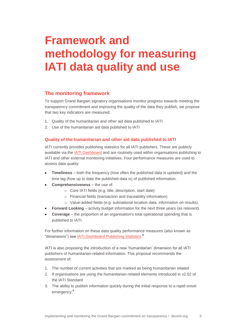## **Framework and methodology for measuring IATI data quality and use**

## **The monitoring framework**

To support Grand Bargain signatory organisations monitor progress towards meeting the transparency commitment and improving the quality of the data they publish, we propose that two key indicators are measured:

- 1. Quality of the humanitarian and other aid data published to IATI
- 2. Use of the humanitarian aid data published to IATI

### **Quality of the humanitarian and other aid data published to IATI**

IATI currently provides publishing statistics for all IATI publishers. These are publicly available via the **IATI Dashboard** and are routinely used within organisations publishing to IATI and other external monitoring initiatives. Four performance measures are used to assess data quality:

- **Timeliness** both the frequency (how often the published data is updated) and the time lag (how up to date the published data is) of published information.
- **Comprehensiveness** the use of:
	- o Core IATI fields (e.g. title, description, start date)
	- o Financial fields (transaction and traceability information)
	- o Value-added fields (e.g. subnational location data, information on results).
- **Forward Looking** activity budget information for the next three years (as relevant).
- **Coverage** the proportion of an organisation's total operational spending that is published to IATI.

For further information on these data quality performance measures (also known as "dimensions") see **IATI Dashboard Publishing Statistics.**<sup>8</sup>

IATI is also proposing the introduction of a new 'humanitarian' dimension for all IATI publishers of humanitarian-related information. This proposal recommends the assessment of:

- 1. The number of current activities that are marked as being humanitarian related
- 2. If organisations are using the humanitarian-related elements introduced in v2.02 of the IATI Standard
- 3. The ability to publish information quickly during the initial response to a rapid-onset emergency.<sup>9</sup>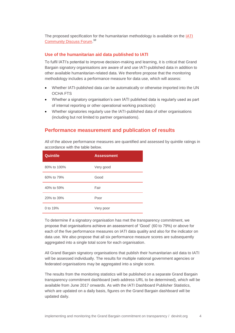The proposed specification for the humanitarian methodology is available on the **IATI** [Community Discuss Forum.](http://discuss.iatistandard.org/t/tech-paper-improvements-to-publishing-statistics-methodologies/545)<sup>10</sup>

#### **Use of the humanitarian aid data published to IATI**

To fulfil IATI's potential to improve decision-making and learning, it is critical that Grand Bargain signatory organisations are aware of and use IATI-published data in addition to other available humanitarian-related data. We therefore propose that the monitoring methodology includes a performance measure for data use, which will assess:

- Whether IATI-published data can be automatically or otherwise imported into the UN OCHA FTS
- Whether a signatory organisation's own IATI published data is regularly used as part of internal reporting or other operational working practice(s)
- Whether signatories regularly use the IATI-published data of other organisations (including but not limited to partner organisations).

## **Performance measurement and publication of results**

All of the above performance measures are quantified and assessed by quintile ratings in accordance with the table below.

| <b>Quintile</b> | <b>Assessment</b> |
|-----------------|-------------------|
| 80% to 100%     | Very good         |
| 60% to 79%      | Good              |
| 40% to 59%      | Fair              |
| 20% to 39%      | Poor              |
| 0 to 19%        | Very poor         |

To determine if a signatory organisation has met the transparency commitment, we propose that organisations achieve an assessment of 'Good' (60 to 79%) or above for each of the five performance measures on IATI data quality and also for the indicator on data use. We also propose that all six performance measure scores are subsequently aggregated into a single total score for each organisation.

All Grand Bargain signatory organisations that publish their humanitarian aid data to IATI will be assessed individually. The results for multiple national government agencies or federated organisations may be aggregated into a single score.

The results from the monitoring statistics will be published on a separate Grand Bargain transparency commitment dashboard (web address URL to be determined), which will be available from June 2017 onwards. As with the IATI Dashboard Publisher Statistics, which are updated on a daily basis, figures on the Grand Bargain dashboard will be updated daily.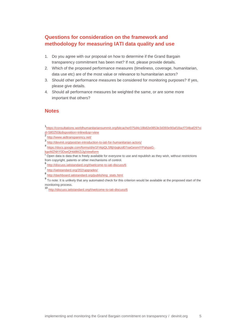## **Questions for consideration on the framework and methodology for measuring IATI data quality and use**

- 1. Do you agree with our proposal on how to determine if the Grand Bargain transparency commitment has been met? If not, please provide details.
- 2. Which of the proposed performance measures (timeliness, coverage, humanitarian, data use etc) are of the most value or relevance to humanitarian actors?
- 3. Should other performance measures be considered for monitoring purposes? If yes, please give details.
- 4. Should all performance measures be weighted the same, or are some more important that others?

## **Notes**

<sup>10</sup> <http://discuss.iatistandard.org/t/welcome-to-iati-discuss/6>

<sup>1&</sup>lt;br>[https://consultations.worldhumanitariansummit.org/bitcache/075d4c18b82e0853e3d393e90af18acf734baf29?vi](https://consultations.worldhumanitariansummit.org/bitcache/075d4c18b82e0853e3d393e90af18acf734baf29?vid=580250&disposition=inline&op=view) [d=580250&disposition=inline&op=view](https://consultations.worldhumanitariansummit.org/bitcache/075d4c18b82e0853e3d393e90af18acf734baf29?vid=580250&disposition=inline&op=view)

<sup>&</sup>lt;sup>2</sup> <http://www.aidtransparency.net/>

<sup>3</sup> <http://devinit.org/post/an-introduction-to-iati-for-humanitarian-actors/>

<sup>4</sup> [https://docs.google.com/forms/d/e/1FAIpQLSfljjVpgkzd07oaGesmIYPahpaG-](https://docs.google.com/forms/d/e/1FAIpQLSfljjVpgkzd07oaGesmIYPahpaG-kgoMZNhY0DseQHddWZiJg/viewform)

[kgoMZNhY0DseQHddWZiJg/viewform](https://docs.google.com/forms/d/e/1FAIpQLSfljjVpgkzd07oaGesmIYPahpaG-kgoMZNhY0DseQHddWZiJg/viewform)

 $5$  Open data is data that is freely available for everyone to use and republish as they wish, without restrictions from copyright, patents or other mechanisms of control.

<sup>6</sup> <http://discuss.iatistandard.org/t/welcome-to-iati-discuss/6>

<sup>7&</sup>lt;br><http://iatistandard.org/202/upgrades/>

<sup>8&</sup>lt;br>[http://dashboard.iatistandard.org/publishing\\_stats.html](http://dashboard.iatistandard.org/publishing_stats.html)

<sup>&</sup>lt;sup>9</sup> To note: It is unlikely that any automated check for this criterion would be available at the proposed start of the monitoring process.